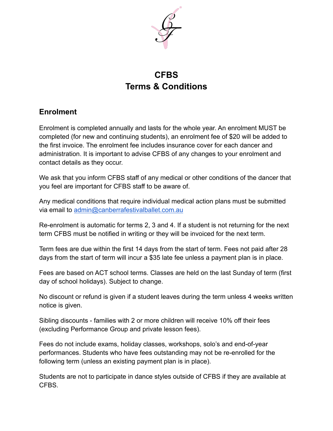

# **CFBS Terms & Conditions**

## **Enrolment**

Enrolment is completed annually and lasts for the whole year. An enrolment MUST be completed (for new and continuing students), an enrolment fee of \$20 will be added to the first invoice. The enrolment fee includes insurance cover for each dancer and administration. It is important to advise CFBS of any changes to your enrolment and contact details as they occur.

We ask that you inform CFBS staff of any medical or other conditions of the dancer that you feel are important for CFBS staff to be aware of.

Any medical conditions that require individual medical action plans must be submitted via email to [admin@canberrafestivalballet.com.au](mailto:admin@canberrafestivalballet.com.au)

Re-enrolment is automatic for terms 2, 3 and 4. If a student is not returning for the next term CFBS must be notified in writing or they will be invoiced for the next term.

Term fees are due within the first 14 days from the start of term. Fees not paid after 28 days from the start of term will incur a \$35 late fee unless a payment plan is in place.

Fees are based on ACT school terms. Classes are held on the last Sunday of term (first day of school holidays). Subject to change.

No discount or refund is given if a student leaves during the term unless 4 weeks written notice is given.

Sibling discounts - families with 2 or more children will receive 10% off their fees (excluding Performance Group and private lesson fees).

Fees do not include exams, holiday classes, workshops, solo's and end-of-year performances. Students who have fees outstanding may not be re-enrolled for the following term (unless an existing payment plan is in place).

Students are not to participate in dance styles outside of CFBS if they are available at CFBS.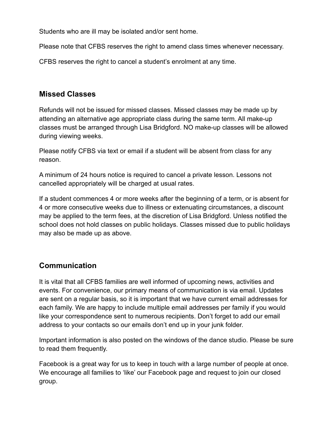Students who are ill may be isolated and/or sent home.

Please note that CFBS reserves the right to amend class times whenever necessary.

CFBS reserves the right to cancel a student's enrolment at any time.

### **Missed Classes**

Refunds will not be issued for missed classes. Missed classes may be made up by attending an alternative age appropriate class during the same term. All make-up classes must be arranged through Lisa Bridgford. NO make-up classes will be allowed during viewing weeks.

Please notify CFBS via text or email if a student will be absent from class for any reason.

A minimum of 24 hours notice is required to cancel a private lesson. Lessons not cancelled appropriately will be charged at usual rates.

If a student commences 4 or more weeks after the beginning of a term, or is absent for 4 or more consecutive weeks due to illness or extenuating circumstances, a discount may be applied to the term fees, at the discretion of Lisa Bridgford. Unless notified the school does not hold classes on public holidays. Classes missed due to public holidays may also be made up as above.

### **Communication**

It is vital that all CFBS families are well informed of upcoming news, activities and events. For convenience, our primary means of communication is via email. Updates are sent on a regular basis, so it is important that we have current email addresses for each family. We are happy to include multiple email addresses per family if you would like your correspondence sent to numerous recipients. Don't forget to add our email address to your contacts so our emails don't end up in your junk folder.

Important information is also posted on the windows of the dance studio. Please be sure to read them frequently.

Facebook is a great way for us to keep in touch with a large number of people at once. We encourage all families to 'like' our Facebook page and request to join our closed group.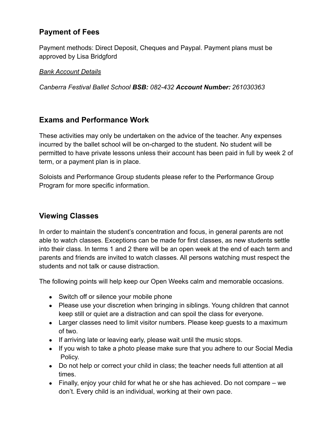### **Payment of Fees**

Payment methods: Direct Deposit, Cheques and Paypal. Payment plans must be approved by Lisa Bridgford

#### *Bank Account Details*

*Canberra Festival Ballet School BSB: 082-432 Account Number: 261030363*

#### **Exams and Performance Work**

These activities may only be undertaken on the advice of the teacher. Any expenses incurred by the ballet school will be on-charged to the student. No student will be permitted to have private lessons unless their account has been paid in full by week 2 of term, or a payment plan is in place.

Soloists and Performance Group students please refer to the Performance Group Program for more specific information.

#### **Viewing Classes**

In order to maintain the student's concentration and focus, in general parents are not able to watch classes. Exceptions can be made for first classes, as new students settle into their class. In terms 1 and 2 there will be an open week at the end of each term and parents and friends are invited to watch classes. All persons watching must respect the students and not talk or cause distraction.

The following points will help keep our Open Weeks calm and memorable occasions.

- Switch off or silence your mobile phone
- Please use your discretion when bringing in siblings. Young children that cannot keep still or quiet are a distraction and can spoil the class for everyone.
- Larger classes need to limit visitor numbers. Please keep guests to a maximum of two.
- If arriving late or leaving early, please wait until the music stops.
- If you wish to take a photo please make sure that you adhere to our Social Media Policy.
- Do not help or correct your child in class; the teacher needs full attention at all times.
- Finally, enjoy your child for what he or she has achieved. Do not compare we don't. Every child is an individual, working at their own pace.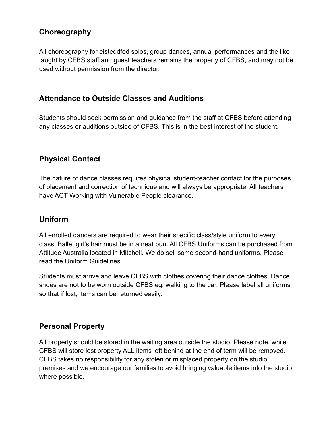### **Choreography**

All choreography for eisteddfod solos, group dances, annual performances and the like taught by CFBS staff and guest teachers remains the property of CFBS, and may not be used without permission from the director.

#### **Attendance to Outside Classes and Auditions**

Students should seek permission and guidance from the staff at CFBS before attending any classes or auditions outside of CFBS. This is in the best interest of the student.

### **Physical Contact**

The nature of dance classes requires physical student-teacher contact for the purposes of placement and correction of technique and will always be appropriate. All teachers have ACT Working with Vulnerable People clearance.

### **Uniform**

All enrolled dancers are required to wear their specific class/style uniform to every class. Ballet girl's hair must be in a neat bun. All CFBS Uniforms can be purchased from Attitude Australia located in Mitchell. We do sell some second-hand uniforms. Please read the Uniform Guidelines.

Students must arrive and leave CFBS with clothes covering their dance clothes. Dance shoes are not to be worn outside CFBS eg. walking to the car. Please label all uniforms so that if lost, items can be returned easily.

#### **Personal Property**

All property should be stored in the waiting area outside the studio. Please note, while CFBS will store lost property ALL items left behind at the end of term will be removed. CFBS takes no responsibility for any stolen or misplaced property on the studio premises and we encourage our families to avoid bringing valuable items into the studio where possible.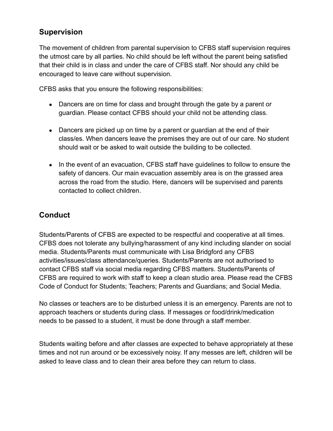### **Supervision**

The movement of children from parental supervision to CFBS staff supervision requires the utmost care by all parties. No child should be left without the parent being satisfied that their child is in class and under the care of CFBS staff. Nor should any child be encouraged to leave care without supervision.

CFBS asks that you ensure the following responsibilities:

- Dancers are on time for class and brought through the gate by a parent or guardian. Please contact CFBS should your child not be attending class.
- Dancers are picked up on time by a parent or guardian at the end of their class/es. When dancers leave the premises they are out of our care. No student should wait or be asked to wait outside the building to be collected.
- In the event of an evacuation, CFBS staff have quidelines to follow to ensure the safety of dancers. Our main evacuation assembly area is on the grassed area across the road from the studio. Here, dancers will be supervised and parents contacted to collect children.

## **Conduct**

Students/Parents of CFBS are expected to be respectful and cooperative at all times. CFBS does not tolerate any bullying/harassment of any kind including slander on social media. Students/Parents must communicate with Lisa Bridgford any CFBS activities/issues/class attendance/queries. Students/Parents are not authorised to contact CFBS staff via social media regarding CFBS matters. Students/Parents of CFBS are required to work with staff to keep a clean studio area. Please read the CFBS Code of Conduct for Students; Teachers; Parents and Guardians; and Social Media.

No classes or teachers are to be disturbed unless it is an emergency. Parents are not to approach teachers or students during class. If messages or food/drink/medication needs to be passed to a student, it must be done through a staff member.

Students waiting before and after classes are expected to behave appropriately at these times and not run around or be excessively noisy. If any messes are left, children will be asked to leave class and to clean their area before they can return to class.